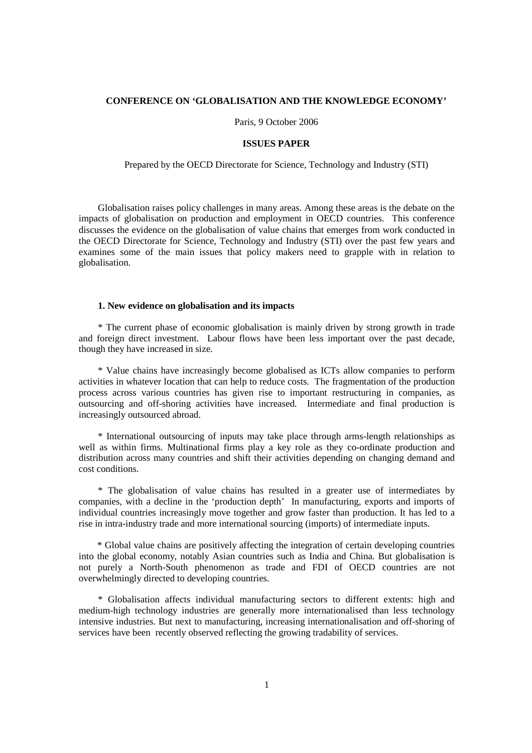#### **CONFERENCE ON 'GLOBALISATION AND THE KNOWLEDGE ECONOMY'**

Paris, 9 October 2006

#### **ISSUES PAPER**

Prepared by the OECD Directorate for Science, Technology and Industry (STI)

Globalisation raises policy challenges in many areas. Among these areas is the debate on the impacts of globalisation on production and employment in OECD countries. This conference discusses the evidence on the globalisation of value chains that emerges from work conducted in the OECD Directorate for Science, Technology and Industry (STI) over the past few years and examines some of the main issues that policy makers need to grapple with in relation to globalisation.

#### **1. New evidence on globalisation and its impacts**

\* The current phase of economic globalisation is mainly driven by strong growth in trade and foreign direct investment. Labour flows have been less important over the past decade, though they have increased in size.

\* Value chains have increasingly become globalised as ICTs allow companies to perform activities in whatever location that can help to reduce costs. The fragmentation of the production process across various countries has given rise to important restructuring in companies, as outsourcing and off-shoring activities have increased. Intermediate and final production is increasingly outsourced abroad.

\* International outsourcing of inputs may take place through arms-length relationships as well as within firms. Multinational firms play a key role as they co-ordinate production and distribution across many countries and shift their activities depending on changing demand and cost conditions.

\* The globalisation of value chains has resulted in a greater use of intermediates by companies, with a decline in the 'production depth' In manufacturing, exports and imports of individual countries increasingly move together and grow faster than production. It has led to a rise in intra-industry trade and more international sourcing (imports) of intermediate inputs.

\* Global value chains are positively affecting the integration of certain developing countries into the global economy, notably Asian countries such as India and China. But globalisation is not purely a North-South phenomenon as trade and FDI of OECD countries are not overwhelmingly directed to developing countries.

\* Globalisation affects individual manufacturing sectors to different extents: high and medium-high technology industries are generally more internationalised than less technology intensive industries. But next to manufacturing, increasing internationalisation and off-shoring of services have been recently observed reflecting the growing tradability of services.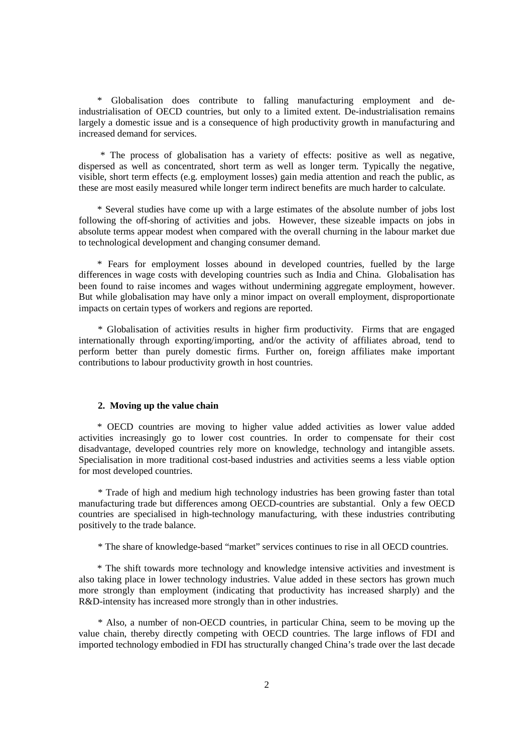\* Globalisation does contribute to falling manufacturing employment and deindustrialisation of OECD countries, but only to a limited extent. De-industrialisation remains largely a domestic issue and is a consequence of high productivity growth in manufacturing and increased demand for services.

 \* The process of globalisation has a variety of effects: positive as well as negative, dispersed as well as concentrated, short term as well as longer term. Typically the negative, visible, short term effects (e.g. employment losses) gain media attention and reach the public, as these are most easily measured while longer term indirect benefits are much harder to calculate.

\* Several studies have come up with a large estimates of the absolute number of jobs lost following the off-shoring of activities and jobs. However, these sizeable impacts on jobs in absolute terms appear modest when compared with the overall churning in the labour market due to technological development and changing consumer demand.

\* Fears for employment losses abound in developed countries, fuelled by the large differences in wage costs with developing countries such as India and China. Globalisation has been found to raise incomes and wages without undermining aggregate employment, however. But while globalisation may have only a minor impact on overall employment, disproportionate impacts on certain types of workers and regions are reported.

\* Globalisation of activities results in higher firm productivity. Firms that are engaged internationally through exporting/importing, and/or the activity of affiliates abroad, tend to perform better than purely domestic firms. Further on, foreign affiliates make important contributions to labour productivity growth in host countries.

#### **2. Moving up the value chain**

\* OECD countries are moving to higher value added activities as lower value added activities increasingly go to lower cost countries. In order to compensate for their cost disadvantage, developed countries rely more on knowledge, technology and intangible assets. Specialisation in more traditional cost-based industries and activities seems a less viable option for most developed countries.

\* Trade of high and medium high technology industries has been growing faster than total manufacturing trade but differences among OECD-countries are substantial. Only a few OECD countries are specialised in high-technology manufacturing, with these industries contributing positively to the trade balance.

\* The share of knowledge-based "market" services continues to rise in all OECD countries.

\* The shift towards more technology and knowledge intensive activities and investment is also taking place in lower technology industries. Value added in these sectors has grown much more strongly than employment (indicating that productivity has increased sharply) and the R&D-intensity has increased more strongly than in other industries.

\* Also, a number of non-OECD countries, in particular China, seem to be moving up the value chain, thereby directly competing with OECD countries. The large inflows of FDI and imported technology embodied in FDI has structurally changed China's trade over the last decade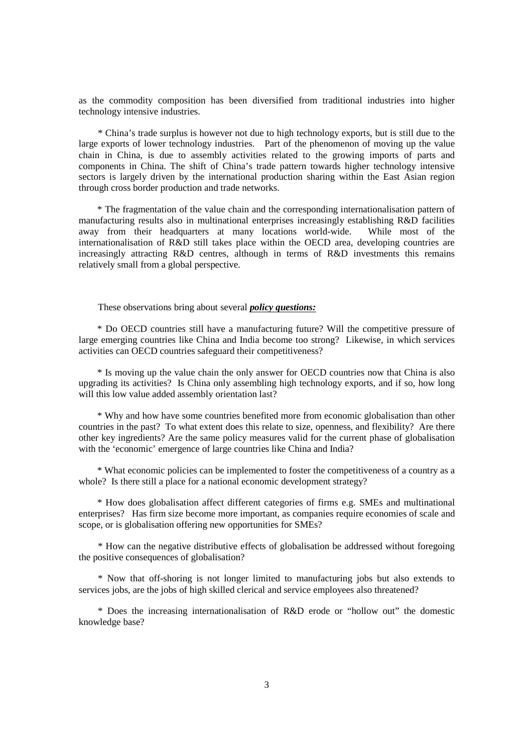as the commodity composition has been diversified from traditional industries into higher technology intensive industries.

\* China's trade surplus is however not due to high technology exports, but is still due to the large exports of lower technology industries. Part of the phenomenon of moving up the value chain in China, is due to assembly activities related to the growing imports of parts and components in China. The shift of China's trade pattern towards higher technology intensive sectors is largely driven by the international production sharing within the East Asian region through cross border production and trade networks.

\* The fragmentation of the value chain and the corresponding internationalisation pattern of manufacturing results also in multinational enterprises increasingly establishing R&D facilities away from their headquarters at many locations world-wide. While most of the internationalisation of R&D still takes place within the OECD area, developing countries are increasingly attracting R&D centres, although in terms of R&D investments this remains relatively small from a global perspective.

#### These observations bring about several *policy questions:*

\* Do OECD countries still have a manufacturing future? Will the competitive pressure of large emerging countries like China and India become too strong? Likewise, in which services activities can OECD countries safeguard their competitiveness?

\* Is moving up the value chain the only answer for OECD countries now that China is also upgrading its activities? Is China only assembling high technology exports, and if so, how long will this low value added assembly orientation last?

\* Why and how have some countries benefited more from economic globalisation than other countries in the past? To what extent does this relate to size, openness, and flexibility? Are there other key ingredients? Are the same policy measures valid for the current phase of globalisation with the 'economic' emergence of large countries like China and India?

\* What economic policies can be implemented to foster the competitiveness of a country as a whole? Is there still a place for a national economic development strategy?

\* How does globalisation affect different categories of firms e.g. SMEs and multinational enterprises? Has firm size become more important, as companies require economies of scale and scope, or is globalisation offering new opportunities for SMEs?

\* How can the negative distributive effects of globalisation be addressed without foregoing the positive consequences of globalisation?

\* Now that off-shoring is not longer limited to manufacturing jobs but also extends to services jobs, are the jobs of high skilled clerical and service employees also threatened?

\* Does the increasing internationalisation of R&D erode or "hollow out" the domestic knowledge base?